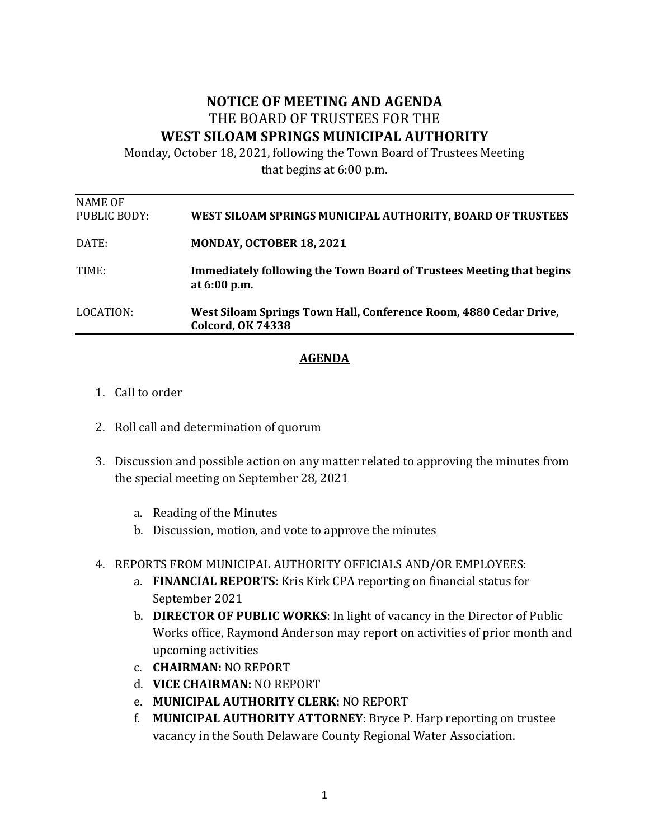## **NOTICE OF MEETING AND AGENDA** THE BOARD OF TRUSTEES FOR THE WEST SILOAM SPRINGS MUNICIPAL AUTHORITY

Monday, October 18, 2021, following the Town Board of Trustees Meeting that begins at 6:00 p.m.

| LOCATION:               | West Siloam Springs Town Hall, Conference Room, 4880 Cedar Drive,<br><b>Colcord, OK 74338</b> |
|-------------------------|-----------------------------------------------------------------------------------------------|
| TIME:                   | <b>Immediately following the Town Board of Trustees Meeting that begins</b><br>at 6:00 p.m.   |
| DATE:                   | MONDAY, OCTOBER 18, 2021                                                                      |
| NAME OF<br>PUBLIC BODY: | WEST SILOAM SPRINGS MUNICIPAL AUTHORITY, BOARD OF TRUSTEES                                    |

## **AGENDA**

- 1. Call to order
- 2. Roll call and determination of quorum
- 3. Discussion and possible action on any matter related to approving the minutes from the special meeting on September 28, 2021
	- a. Reading of the Minutes
	- b. Discussion, motion, and vote to approve the minutes

## 4. REPORTS FROM MUNICIPAL AUTHORITY OFFICIALS AND/OR EMPLOYEES:

- a. **FINANCIAL REPORTS:** Kris Kirk CPA reporting on financial status for September 2021
- b. DIRECTOR OF PUBLIC WORKS: In light of vacancy in the Director of Public Works office, Raymond Anderson may report on activities of prior month and upcoming activities
- c. **CHAIRMAN:** NO REPORT
- d. **VICE CHAIRMAN:** NO REPORT
- e. **MUNICIPAL AUTHORITY CLERK:** NO REPORT
- f. **MUNICIPAL AUTHORITY ATTORNEY**: Bryce P. Harp reporting on trustee vacancy in the South Delaware County Regional Water Association.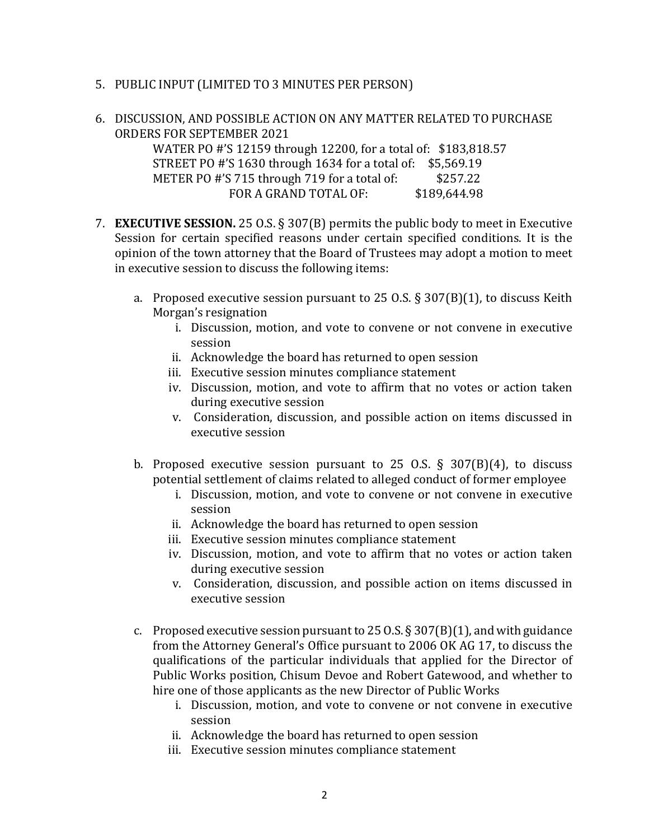- 5. PUBLIC INPUT (LIMITED TO 3 MINUTES PER PERSON)
- 6. DISCUSSION, AND POSSIBLE ACTION ON ANY MATTER RELATED TO PURCHASE ORDERS FOR SEPTEMBER 2021

WATER PO #'S 12159 through 12200, for a total of: \$183,818.57 STREET PO #'S 1630 through 1634 for a total of: \$5,569.19 METER PO  $\#$ 'S 715 through 719 for a total of:  $$257.22$ FOR A GRAND TOTAL OF: \$189,644.98

- 7. **EXECUTIVE SESSION.** 25 O.S. § 307(B) permits the public body to meet in Executive Session for certain specified reasons under certain specified conditions. It is the opinion of the town attorney that the Board of Trustees may adopt a motion to meet in executive session to discuss the following items:
	- a. Proposed executive session pursuant to 25 O.S. § 307(B)(1), to discuss Keith Morgan's resignation
		- i. Discussion, motion, and vote to convene or not convene in executive session
		- ii. Acknowledge the board has returned to open session
		- iii. Executive session minutes compliance statement
		- iv. Discussion, motion, and vote to affirm that no votes or action taken during executive session
		- v. Consideration, discussion, and possible action on items discussed in executive session
	- b. Proposed executive session pursuant to 25 O.S.  $\S$  307(B)(4), to discuss potential settlement of claims related to alleged conduct of former employee
		- i. Discussion, motion, and vote to convene or not convene in executive session
		- ii. Acknowledge the board has returned to open session
		- iii. Executive session minutes compliance statement
		- iv. Discussion, motion, and vote to affirm that no votes or action taken during executive session
		- v. Consideration, discussion, and possible action on items discussed in executive session
	- c. Proposed executive session pursuant to  $25$  O.S. § 307(B)(1), and with guidance from the Attorney General's Office pursuant to 2006 OK AG 17, to discuss the qualifications of the particular individuals that applied for the Director of Public Works position, Chisum Devoe and Robert Gatewood, and whether to hire one of those applicants as the new Director of Public Works
		- i. Discussion, motion, and vote to convene or not convene in executive session
		- ii. Acknowledge the board has returned to open session
		- iii. Executive session minutes compliance statement